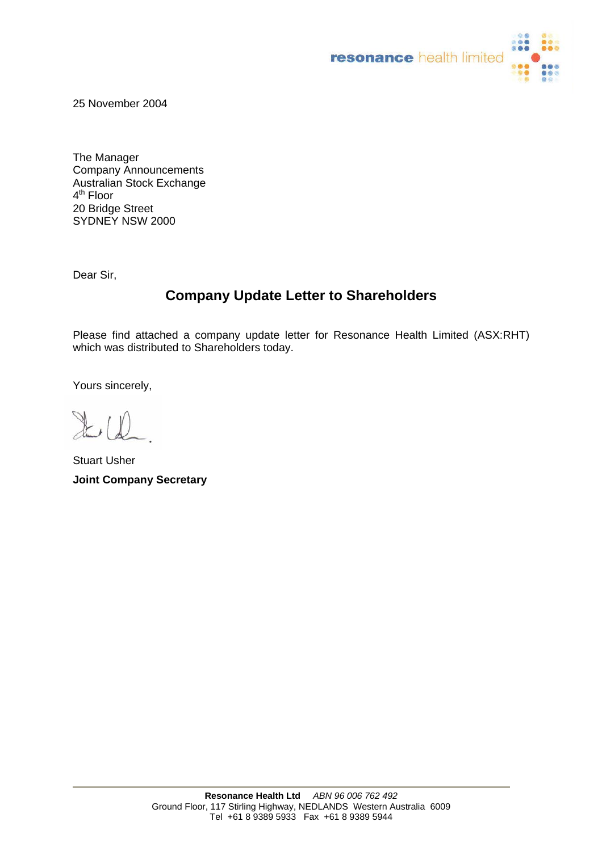

25 November 2004

The Manager Company Announcements Australian Stock Exchange 4<sup>th</sup> Floor 20 Bridge Street SYDNEY NSW 2000

Dear Sir,

## **Company Update Letter to Shareholders**

Please find attached a company update letter for Resonance Health Limited (ASX:RHT) which was distributed to Shareholders today.

Yours sincerely,

 $L(D)$ 

Stuart Usher **Joint Company Secretary**